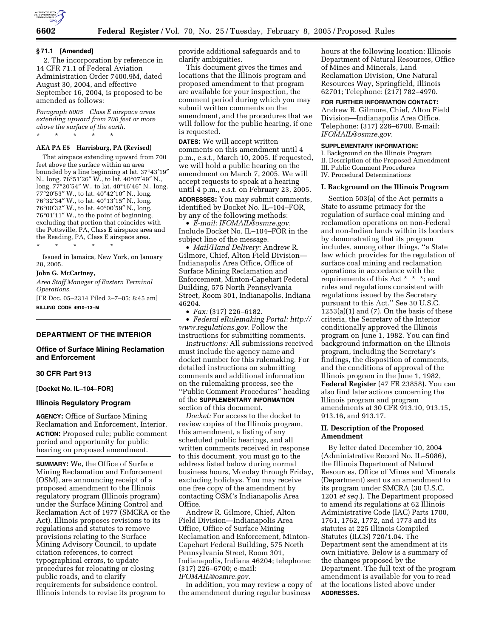

#### **§ 71.1 [Amended]**

2. The incorporation by reference in 14 CFR 71.1 of Federal Aviation Administration Order 7400.9M, dated August 30, 2004, and effective September 16, 2004, is proposed to be amended as follows:

*Paragraph 6005 Class E airspace areas extending upward from 700 feet or more above the surface of the earth.* \* \* \* \* \*

#### **AEA PA E5 Harrisburg, PA (Revised)**

That airspace extending upward from 700 feet above the surface within an area bounded by a line beginning at lat. 37°43′19″ N., long. 76°51′26″ W., to lat. 40°07′49″ N., long. 77°20′54″ W., to lat. 40°16′46″ N., long. 77°20′53″ W., to lat. 40°42′10″ N., long. 76°32′34″ W., to lat. 40°13′15″ N., long. 76°00′32″ W., to lat. 40°00′59″ N., long. 76°01′11″ W., to the point of beginning, excluding that portion that coincides with the Pottsville, PA, Class E airspace area and the Reading, PA, Class E airspace area.

\* \* \* \* \*

Issued in Jamaica, New York, on January 28, 2005.

#### **John G. McCartney,**

*Area Staff Manager of Eastern Terminal Operations.*

[FR Doc. 05–2314 Filed 2–7–05; 8:45 am] **BILLING CODE 4910–13–M**

#### **DEPARTMENT OF THE INTERIOR**

### **Office of Surface Mining Reclamation and Enforcement**

#### **30 CFR Part 913**

**[Docket No. IL–104–FOR]** 

#### **Illinois Regulatory Program**

**AGENCY:** Office of Surface Mining Reclamation and Enforcement, Interior. **ACTION:** Proposed rule; public comment period and opportunity for public hearing on proposed amendment.

**SUMMARY:** We, the Office of Surface Mining Reclamation and Enforcement (OSM), are announcing receipt of a proposed amendment to the Illinois regulatory program (Illinois program) under the Surface Mining Control and Reclamation Act of 1977 (SMCRA or the Act). Illinois proposes revisions to its regulations and statutes to remove provisions relating to the Surface Mining Advisory Council, to update citation references, to correct typographical errors, to update procedures for relocating or closing public roads, and to clarify requirements for subsidence control. Illinois intends to revise its program to

provide additional safeguards and to clarify ambiguities.

This document gives the times and locations that the Illinois program and proposed amendment to that program are available for your inspection, the comment period during which you may submit written comments on the amendment, and the procedures that we will follow for the public hearing, if one is requested.

**DATES:** We will accept written comments on this amendment until 4 p.m., e.s.t., March 10, 2005. If requested, we will hold a public hearing on the amendment on March 7, 2005. We will accept requests to speak at a hearing until 4 p.m., e.s.t. on February 23, 2005. **ADDRESSES:** You may submit comments, identified by Docket No. IL–104–FOR,

by any of the following methods: • *E-mail: IFOMAIL@osmre.gov.* Include Docket No. IL–104–FOR in the subject line of the message.

• *Mail/Hand Delivery:* Andrew R. Gilmore, Chief, Alton Field Division— Indianapolis Area Office, Office of Surface Mining Reclamation and Enforcement, Minton-Capehart Federal Building, 575 North Pennsylvania Street, Room 301, Indianapolis, Indiana 46204.

• *Fax:* (317) 226–6182.

• *Federal eRulemaking Portal: http:// www.regulations.gov.* Follow the instructions for submitting comments.

*Instructions:* All submissions received must include the agency name and docket number for this rulemaking. For detailed instructions on submitting comments and additional information on the rulemaking process, see the ''Public Comment Procedures'' heading of the **SUPPLEMENTARY INFORMATION** section of this document.

*Docket:* For access to the docket to review copies of the Illinois program, this amendment, a listing of any scheduled public hearings, and all written comments received in response to this document, you must go to the address listed below during normal business hours, Monday through Friday, excluding holidays. You may receive one free copy of the amendment by contacting OSM's Indianapolis Area Office.

Andrew R. Gilmore, Chief, Alton Field Division—Indianapolis Area Office, Office of Surface Mining Reclamation and Enforcement, Minton-Capehart Federal Building, 575 North Pennsylvania Street, Room 301, Indianapolis, Indiana 46204; telephone: (317) 226–6700; e-mail: *IFOMAIL@osmre.gov.*

In addition, you may review a copy of the amendment during regular business

hours at the following location: Illinois Department of Natural Resources, Office of Mines and Minerals, Land Reclamation Division, One Natural Resources Way, Springfield, Illinois 62701; Telephone: (217) 782–4970.

## **FOR FURTHER INFORMATION CONTACT:**

Andrew R. Gilmore, Chief, Alton Field Division—Indianapolis Area Office. Telephone: (317) 226–6700. E-mail: *IFOMAIL@osmre.gov.*

### **SUPPLEMENTARY INFORMATION:**

I. Background on the Illinois Program II. Description of the Proposed Amendment III. Public Comment Procedures IV. Procedural Determinations

#### **I. Background on the Illinois Program**

Section 503(a) of the Act permits a State to assume primacy for the regulation of surface coal mining and reclamation operations on non-Federal and non-Indian lands within its borders by demonstrating that its program includes, among other things, ''a State law which provides for the regulation of surface coal mining and reclamation operations in accordance with the requirements of this Act \* \* \*; and rules and regulations consistent with regulations issued by the Secretary pursuant to this Act.'' See 30 U.S.C.  $1253(a)(1)$  and  $(7)$ . On the basis of these criteria, the Secretary of the Interior conditionally approved the Illinois program on June 1, 1982. You can find background information on the Illinois program, including the Secretary's findings, the disposition of comments, and the conditions of approval of the Illinois program in the June 1, 1982, **Federal Register** (47 FR 23858). You can also find later actions concerning the Illinois program and program amendments at 30 CFR 913.10, 913.15, 913.16, and 913.17.

## **II. Description of the Proposed Amendment**

By letter dated December 10, 2004 (Administrative Record No. IL–5086), the Illinois Department of Natural Resources, Office of Mines and Minerals (Department) sent us an amendment to its program under SMCRA (30 U.S.C. 1201 *et seq.*). The Department proposed to amend its regulations at 62 Illinois Administrative Code (IAC) Parts 1700, 1761, 1762, 1772, and 1773 and its statutes at 225 Illinois Compiled Statutes (ILCS) 720/1.04. The Department sent the amendment at its own initiative. Below is a summary of the changes proposed by the Department. The full text of the program amendment is available for you to read at the locations listed above under **ADDRESSES.**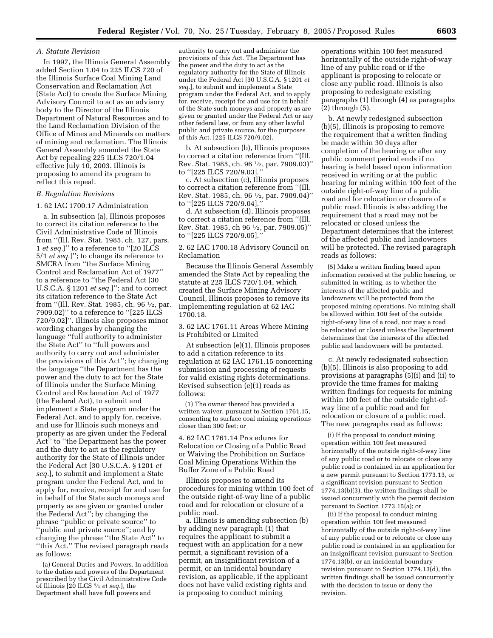### *A. Statute Revision*

In 1997, the Illinois General Assembly added Section 1.04 to 225 ILCS 720 of the Illinois Surface Coal Mining Land Conservation and Reclamation Act (State Act) to create the Surface Mining Advisory Council to act as an advisory body to the Director of the Illinois Department of Natural Resources and to the Land Reclamation Division of the Office of Mines and Minerals on matters of mining and reclamation. The Illinois General Assembly amended the State Act by repealing 225 ILCS 720/1.04 effective July 10, 2003. Illinois is proposing to amend its program to reflect this repeal.

## *B. Regulation Revisions*

1. 62 IAC 1700.17 Administration

a. In subsection (a), Illinois proposes to correct its citation reference to the Civil Administrative Code of Illinois from ''(Ill. Rev. Stat. 1985, ch. 127, pars. 1 *et seq.*)'' to a reference to ''[20 ILCS 5/1 *et seq.*]''; to change its reference to SMCRA from ''the Surface Mining Control and Reclamation Act of 1977'' to a reference to ''the Federal Act [30 U.S.C.A. § 1201 *et seq.*]''; and to correct its citation reference to the State Act from ''(Ill. Rev. Stat. 1985, ch. 96 1⁄2, par. 7909.02)'' to a reference to ''[225 ILCS 720/9.02]''. Illinois also proposes minor wording changes by changing the language ''full authority to administer the State Act'' to ''full powers and authority to carry out and administer the provisions of this Act''; by changing the language ''the Department has the power and the duty to act for the State of Illinois under the Surface Mining Control and Reclamation Act of 1977 (the Federal Act), to submit and implement a State program under the Federal Act, and to apply for, receive, and use for Illinois such moneys and property as are given under the Federal Act'' to ''the Department has the power and the duty to act as the regulatory authority for the State of Illinois under the Federal Act [30 U.S.C.A. § 1201 *et seq.*], to submit and implement a State program under the Federal Act, and to apply for, receive, receipt for and use for in behalf of the State such moneys and property as are given or granted under the Federal Act''; by changing the phrase ''public or private source'' to ''public and private source''; and by changing the phrase ''the State Act'' to ''this Act.'' The revised paragraph reads as follows:

(a) General Duties and Powers. In addition to the duties and powers of the Department prescribed by the Civil Administrative Code of Illinois [20 ILCS 5⁄1 *et seq.*], the Department shall have full powers and

authority to carry out and administer the provisions of this Act. The Department has the power and the duty to act as the regulatory authority for the State of Illinois under the Federal Act [30 U.S.C.A. § 1201 *et seq.*], to submit and implement a State program under the Federal Act, and to apply for, receive, receipt for and use for in behalf of the State such moneys and property as are given or granted under the Federal Act or any other federal law, or from any other lawful public and private source, for the purposes of this Act. [225 ILCS 720/9.02].

b. At subsection (b), Illinois proposes to correct a citation reference from ''(Ill. Rev. Stat. 1985, ch. 96 1⁄2, par. 7909.03)'' to ''[225 ILCS 720/9.03].''

c. At subsection (c), Illinois proposes to correct a citation reference from ''(Ill. Rev. Stat. 1985, ch. 96 1⁄2, par. 7909.04)'' to ''[225 ILCS 720/9.04].''

d. At subsection (d), Illinois proposes to correct a citation reference from ''(Ill. Rev. Stat. 1985, ch 96 1⁄2, par. 7909.05)'' to ''[225 ILCS 720/9.05].''

### 2. 62 IAC 1700.18 Advisory Council on Reclamation

Because the Illinois General Assembly amended the State Act by repealing the statute at 225 ILCS 720/1.04, which created the Surface Mining Advisory Council, Illinois proposes to remove its implementing regulation at 62 IAC 1700.18.

3. 62 IAC 1761.11 Areas Where Mining is Prohibited or Limited

At subsection (e)(1), Illinois proposes to add a citation reference to its regulation at 62 IAC 1761.15 concerning submission and processing of requests for valid existing rights determinations. Revised subsection (e)(1) reads as follows:

(1) The owner thereof has provided a written waiver, pursuant to Section 1761.15, consenting to surface coal mining operations closer than 300 feet; or

4. 62 IAC 1761.14 Procedures for Relocation or Closing of a Public Road or Waiving the Prohibition on Surface Coal Mining Operations Within the Buffer Zone of a Public Road

Illinois proposes to amend its procedures for mining within 100 feet of the outside right-of-way line of a public road and for relocation or closure of a public road.

a. Illinois is amending subsection (b) by adding new paragraph (1) that requires the applicant to submit a request with an application for a new permit, a significant revision of a permit, an insignificant revision of a permit, or an incidental boundary revision, as applicable, if the applicant does not have valid existing rights and is proposing to conduct mining

operations within 100 feet measured horizontally of the outside right-of-way line of any public road or if the applicant is proposing to relocate or close any public road. Illinois is also proposing to redesignate existing paragraphs (1) through (4) as paragraphs (2) through (5).

b. At newly redesigned subsection (b)(5), Illinois is proposing to remove the requirement that a written finding be made within 30 days after completion of the hearing or after any public comment period ends if no hearing is held based upon information received in writing or at the public hearing for mining within 100 feet of the outside right-of-way line of a public road and for relocation or closure of a public road. Illinois is also adding the requirement that a road may not be relocated or closed unless the Department determines that the interest of the affected public and landowners will be protected. The revised paragraph reads as follows:

(5) Make a written finding based upon information received at the public hearing, or submitted in writing, as to whether the interests of the affected public and landowners will be protected from the proposed mining operations. No mining shall be allowed within 100 feet of the outside right-of-way line of a road, nor may a road be relocated or closed unless the Department determines that the interests of the affected public and landowners will be protected.

c. At newly redesignated subsection (b)(5), Illinois is also proposing to add provisions at paragraphs (5)(i) and (ii) to provide the time frames for making written findings for requests for mining within 100 feet of the outside right-ofway line of a public road and for relocation or closure of a public road. The new paragraphs read as follows:

(i) If the proposal to conduct mining operation within 100 feet measured horizontally of the outside right-of-way line of any public road or to relocate or close any public road is contained in an application for a new permit pursuant to Section 1773.13, or a significant revision pursuant to Section 1774.13(b)(3), the written findings shall be issued concurrently with the permit decision pursuant to Section 1773.15(a); or

(ii) If the proposal to conduct mining operation within 100 feet measured horizontally of the outside right-of-way line of any public road or to relocate or close any public road is contained in an application for an insignificant revision pursuant to Section 1774.13(b), or an incidental boundary revision pursuant to Section 1774.13(d), the written findings shall be issued concurrently with the decision to issue or deny the revision.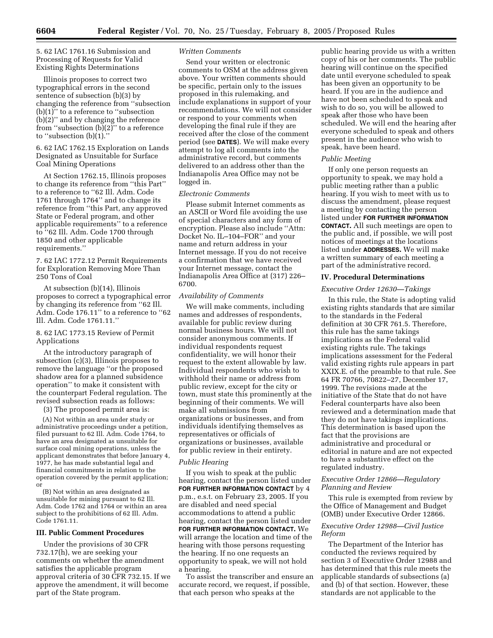5. 62 IAC 1761.16 Submission and Processing of Requests for Valid Existing Rights Determinations

Illinois proposes to correct two typographical errors in the second sentence of subsection (b)(3) by changing the reference from ''subsection (b)(1)'' to a reference to ''subsection (b)(2)'' and by changing the reference from "subsection  $(b)(2)$ " to a reference to ''subsection (b)(1).''

6. 62 IAC 1762.15 Exploration on Lands Designated as Unsuitable for Surface Coal Mining Operations

At Section 1762.15, Illinois proposes to change its reference from ''this Part'' to a reference to ''62 Ill. Adm. Code 1761 through 1764'' and to change its reference from ''this Part, any approved State or Federal program, and other applicable requirements'' to a reference to ''62 Ill. Adm. Code 1700 through 1850 and other applicable requirements.''

7. 62 IAC 1772.12 Permit Requirements for Exploration Removing More Than 250 Tons of Coal

At subsection (b)(14), Illinois proposes to correct a typographical error by changing its reference from ''62 Ill. Adm. Code 176.11'' to a reference to ''62 Ill. Adm. Code 1761.11.''

## 8. 62 IAC 1773.15 Review of Permit Applications

At the introductory paragraph of subsection (c)(3), Illinois proposes to remove the language ''or the proposed shadow area for a planned subsidence operation'' to make it consistent with the counterpart Federal regulation. The revised subsection reads as follows:

(3) The proposed permit area is:

(A) Not within an area under study or administrative proceedings under a petition, filed pursuant to 62 Ill. Adm. Code 1764, to have an area designated as unsuitable for surface coal mining operations, unless the applicant demonstrates that before January 4, 1977, he has made substantial legal and financial commitments in relation to the operation covered by the permit application; or

(B) Not within an area designated as unsuitable for mining pursuant to 62 Ill. Adm. Code 1762 and 1764 or within an area subject to the prohibitions of 62 Ill. Adm. Code 1761.11.

### **III. Public Comment Procedures**

Under the provisions of 30 CFR 732.17(h), we are seeking your comments on whether the amendment satisfies the applicable program approval criteria of 30 CFR 732.15. If we approve the amendment, it will become part of the State program.

## *Written Comments*

Send your written or electronic comments to OSM at the address given above. Your written comments should be specific, pertain only to the issues proposed in this rulemaking, and include explanations in support of your recommendations. We will not consider or respond to your comments when developing the final rule if they are received after the close of the comment period (see **DATES**). We will make every attempt to log all comments into the administrative record, but comments delivered to an address other than the Indianapolis Area Office may not be logged in.

## *Electronic Comments*

Please submit Internet comments as an ASCII or Word file avoiding the use of special characters and any form of encryption. Please also include ''Attn: Docket No. IL–104–FOR'' and your name and return address in your Internet message. If you do not receive a confirmation that we have received your Internet message, contact the Indianapolis Area Office at (317) 226– 6700.

## *Availability of Comments*

We will make comments, including names and addresses of respondents, available for public review during normal business hours. We will not consider anonymous comments. If individual respondents request confidentiality, we will honor their request to the extent allowable by law. Individual respondents who wish to withhold their name or address from public review, except for the city or town, must state this prominently at the beginning of their comments. We will make all submissions from organizations or businesses, and from individuals identifying themselves as representatives or officials of organizations or businesses, available for public review in their entirety.

#### *Public Hearing*

If you wish to speak at the public hearing, contact the person listed under **FOR FURTHER INFORMATION CONTACT** by 4 p.m., e.s.t. on February 23, 2005. If you are disabled and need special accommodations to attend a public hearing, contact the person listed under **FOR FURTHER INFORMATION CONTACT.** We will arrange the location and time of the hearing with those persons requesting the hearing. If no one requests an opportunity to speak, we will not hold a hearing.

To assist the transcriber and ensure an accurate record, we request, if possible, that each person who speaks at the

public hearing provide us with a written copy of his or her comments. The public hearing will continue on the specified date until everyone scheduled to speak has been given an opportunity to be heard. If you are in the audience and have not been scheduled to speak and wish to do so, you will be allowed to speak after those who have been scheduled. We will end the hearing after everyone scheduled to speak and others present in the audience who wish to speak, have been heard.

#### *Public Meeting*

If only one person requests an opportunity to speak, we may hold a public meeting rather than a public hearing. If you wish to meet with us to discuss the amendment, please request a meeting by contacting the person listed under **FOR FURTHER INFORMATION CONTACT.** All such meetings are open to the public and, if possible, we will post notices of meetings at the locations listed under **ADDRESSES.** We will make a written summary of each meeting a part of the administrative record.

### **IV. Procedural Determinations**

#### *Executive Order 12630—Takings*

In this rule, the State is adopting valid existing rights standards that are similar to the standards in the Federal definition at 30 CFR 761.5. Therefore, this rule has the same takings implications as the Federal valid existing rights rule. The takings implications assessment for the Federal valid existing rights rule appears in part XXIX.E. of the preamble to that rule. See 64 FR 70766, 70822–27, December 17, 1999. The revisions made at the initiative of the State that do not have Federal counterparts have also been reviewed and a determination made that they do not have takings implications. This determination is based upon the fact that the provisions are administrative and procedural or editorial in nature and are not expected to have a substantive effect on the regulated industry.

## *Executive Order 12866—Regulatory Planning and Review*

This rule is exempted from review by the Office of Management and Budget (OMB) under Executive Order 12866.

## *Executive Order 12988—Civil Justice Reform*

The Department of the Interior has conducted the reviews required by section 3 of Executive Order 12988 and has determined that this rule meets the applicable standards of subsections (a) and (b) of that section. However, these standards are not applicable to the